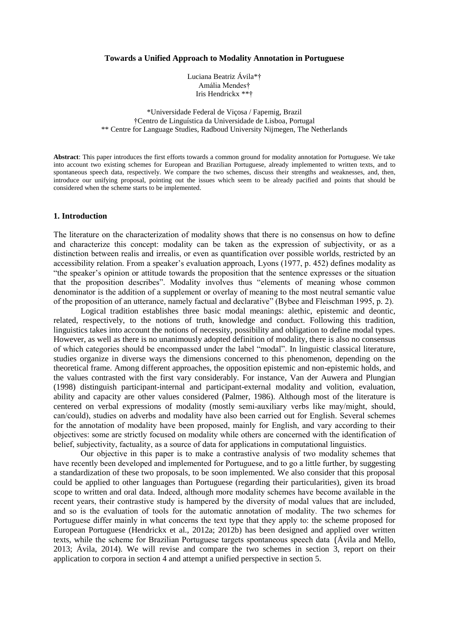#### **Towards a Unified Approach to Modality Annotation in Portuguese**

Luciana Beatriz Ávila\*† Amália Mendes† Iris Hendrickx \*\*†

\*Universidade Federal de Viçosa / Fapemig, Brazil †Centro de Linguística da Universidade de Lisboa, Portugal \*\* Centre for Language Studies, Radboud University Nijmegen, The Netherlands

**Abstract**: This paper introduces the first efforts towards a common ground for modality annotation for Portuguese. We take into account two existing schemes for European and Brazilian Portuguese, already implemented to written texts, and to spontaneous speech data, respectively. We compare the two schemes, discuss their strengths and weaknesses, and, then, introduce our unifying proposal, pointing out the issues which seem to be already pacified and points that should be considered when the scheme starts to be implemented.

# **1. Introduction**

The literature on the characterization of modality shows that there is no consensus on how to define and characterize this concept: modality can be taken as the expression of subjectivity, or as a distinction between realis and irrealis, or even as quantification over possible worlds, restricted by an accessibility relation. From a speaker's evaluation approach, Lyons (1977, p. 452) defines modality as "the speaker's opinion or attitude towards the proposition that the sentence expresses or the situation that the proposition describes". Modality involves thus "elements of meaning whose common denominator is the addition of a supplement or overlay of meaning to the most neutral semantic value of the proposition of an utterance, namely factual and declarative" (Bybee and Fleischman 1995, p. 2).

Logical tradition establishes three basic modal meanings: alethic, epistemic and deontic, related, respectively, to the notions of truth, knowledge and conduct. Following this tradition, linguistics takes into account the notions of necessity, possibility and obligation to define modal types. However, as well as there is no unanimously adopted definition of modality, there is also no consensus of which categories should be encompassed under the label "modal". In linguistic classical literature, studies organize in diverse ways the dimensions concerned to this phenomenon, depending on the theoretical frame. Among different approaches, the opposition epistemic and non-epistemic holds, and the values contrasted with the first vary considerably. For instance, Van der Auwera and Plungian (1998) distinguish participant-internal and participant-external modality and volition, evaluation, ability and capacity are other values considered (Palmer, 1986). Although most of the literature is centered on verbal expressions of modality (mostly semi-auxiliary verbs like may/might, should, can/could), studies on adverbs and modality have also been carried out for English. Several schemes for the annotation of modality have been proposed, mainly for English, and vary according to their objectives: some are strictly focused on modality while others are concerned with the identification of belief, subjectivity, factuality, as a source of data for applications in computational linguistics.

Our objective in this paper is to make a contrastive analysis of two modality schemes that have recently been developed and implemented for Portuguese, and to go a little further, by suggesting a standardization of these two proposals, to be soon implemented. We also consider that this proposal could be applied to other languages than Portuguese (regarding their particularities), given its broad scope to written and oral data. Indeed, although more modality schemes have become available in the recent years, their contrastive study is hampered by the diversity of modal values that are included, and so is the evaluation of tools for the automatic annotation of modality. The two schemes for Portuguese differ mainly in what concerns the text type that they apply to: the scheme proposed for European Portuguese (Hendrickx et al., 2012a; 2012b) has been designed and applied over written texts, while the scheme for Brazilian Portuguese targets spontaneous speech data (Ávila and Mello, 2013; Ávila, 2014). We will revise and compare the two schemes in section 3, report on their application to corpora in section 4 and attempt a unified perspective in section 5.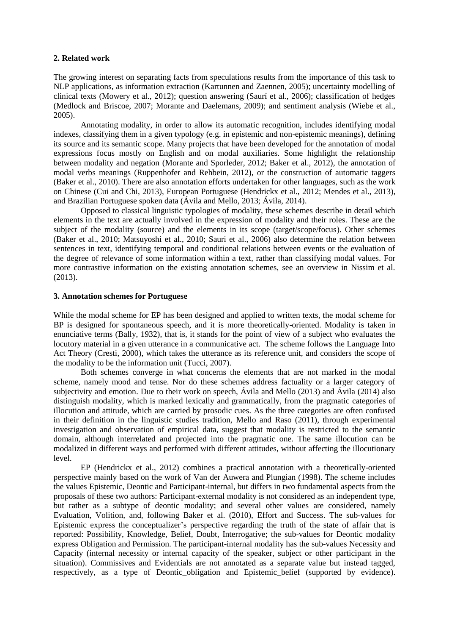### **2. Related work**

The growing interest on separating facts from speculations results from the importance of this task to NLP applications, as information extraction (Kartunnen and Zaennen, 2005); uncertainty modelling of clinical texts (Mowery et al., 2012); question answering (Saurí et al., 2006); classification of hedges (Medlock and Briscoe, 2007; Morante and Daelemans, 2009); and sentiment analysis (Wiebe et al., 2005).

Annotating modality, in order to allow its automatic recognition, includes identifying modal indexes, classifying them in a given typology (e.g. in epistemic and non-epistemic meanings), defining its source and its semantic scope. Many projects that have been developed for the annotation of modal expressions focus mostly on English and on modal auxiliaries. Some highlight the relationship between modality and negation (Morante and Sporleder, 2012; Baker et al., 2012), the annotation of modal verbs meanings (Ruppenhofer and Rehbein, 2012), or the construction of automatic taggers (Baker et al., 2010). There are also annotation efforts undertaken for other languages, such as the work on Chinese (Cui and Chi, 2013), European Portuguese (Hendrickx et al., 2012; Mendes et al., 2013), and Brazilian Portuguese spoken data (Ávila and Mello, 2013; Ávila, 2014).

Opposed to classical linguistic typologies of modality, these schemes describe in detail which elements in the text are actually involved in the expression of modality and their roles. These are the subject of the modality (source) and the elements in its scope (target/scope/focus). Other schemes (Baker et al., 2010; Matsuyoshi et al., 2010; Sauri et al., 2006) also determine the relation between sentences in text, identifying temporal and conditional relations between events or the evaluation of the degree of relevance of some information within a text, rather than classifying modal values. For more contrastive information on the existing annotation schemes, see an overview in Nissim et al. (2013).

### **3. Annotation schemes for Portuguese**

While the modal scheme for EP has been designed and applied to written texts, the modal scheme for BP is designed for spontaneous speech, and it is more theoretically-oriented. Modality is taken in enunciative terms (Bally, 1932), that is, it stands for the point of view of a subject who evaluates the locutory material in a given utterance in a communicative act. The scheme follows the Language Into Act Theory (Cresti, 2000), which takes the utterance as its reference unit, and considers the scope of the modality to be the information unit (Tucci, 2007).

Both schemes converge in what concerns the elements that are not marked in the modal scheme, namely mood and tense. Nor do these schemes address factuality or a larger category of subjectivity and emotion. Due to their work on speech, Ávila and Mello (2013) and Ávila (2014) also distinguish modality, which is marked lexically and grammatically, from the pragmatic categories of illocution and attitude, which are carried by prosodic cues. As the three categories are often confused in their definition in the linguistic studies tradition, Mello and Raso (2011), through experimental investigation and observation of empirical data, suggest that modality is restricted to the semantic domain, although interrelated and projected into the pragmatic one. The same illocution can be modalized in different ways and performed with different attitudes, without affecting the illocutionary level.

EP (Hendrickx et al., 2012) combines a practical annotation with a theoretically-oriented perspective mainly based on the work of Van der Auwera and Plungian (1998). The scheme includes the values Epistemic, Deontic and Participant-internal, but differs in two fundamental aspects from the proposals of these two authors: Participant-external modality is not considered as an independent type, but rather as a subtype of deontic modality; and several other values are considered, namely Evaluation, Volition, and, following Baker et al. (2010), Effort and Success. The sub-values for Epistemic express the conceptualizer's perspective regarding the truth of the state of affair that is reported: Possibility, Knowledge, Belief, Doubt, Interrogative; the sub-values for Deontic modality express Obligation and Permission. The participant-internal modality has the sub-values Necessity and Capacity (internal necessity or internal capacity of the speaker, subject or other participant in the situation). Commissives and Evidentials are not annotated as a separate value but instead tagged, respectively, as a type of Deontic\_obligation and Epistemic\_belief (supported by evidence).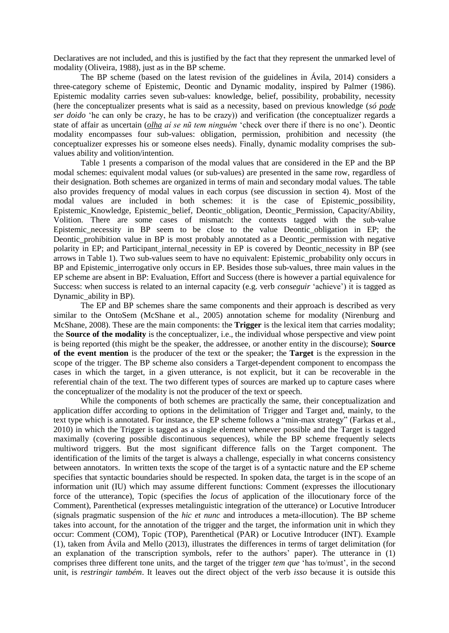Declaratives are not included, and this is justified by the fact that they represent the unmarked level of modality (Oliveira, 1988), just as in the BP scheme.

The BP scheme (based on the latest revision of the guidelines in Ávila, 2014) considers a three-category scheme of Epistemic, Deontic and Dynamic modality, inspired by Palmer (1986). Epistemic modality carries seven sub-values: knowledge, belief, possibility, probability, necessity (here the conceptualizer presents what is said as a necessity, based on previous knowledge (*só pode ser doido* 'he can only be crazy, he has to be crazy)) and verification (the conceptualizer regards a state of affair as uncertain (*olha aí se nũ tem ninguém* 'check over there if there is no one'). Deontic modality encompasses four sub-values: obligation, permission, prohibition and necessity (the conceptualizer expresses his or someone elses needs). Finally, dynamic modality comprises the subvalues ability and volition/intention.

Table 1 presents a comparison of the modal values that are considered in the EP and the BP modal schemes: equivalent modal values (or sub-values) are presented in the same row, regardless of their designation. Both schemes are organized in terms of main and secondary modal values. The table also provides frequency of modal values in each corpus (see discussion in section 4). Most of the modal values are included in both schemes: it is the case of Epistemic\_possibility, Epistemic Knowledge, Epistemic belief, Deontic obligation, Deontic Permission, Capacity/Ability, Volition. There are some cases of mismatch: the contexts tagged with the sub-value Epistemic necessity in BP seem to be close to the value Deontic obligation in EP; the Deontic prohibition value in BP is most probably annotated as a Deontic permission with negative polarity in EP; and Participant internal necessity in EP is covered by Deontic necessity in BP (see arrows in Table 1). Two sub-values seem to have no equivalent: Epistemic\_probability only occurs in BP and Epistemic interrogative only occurs in EP. Besides those sub-values, three main values in the EP scheme are absent in BP: Evaluation, Effort and Success (there is however a partial equivalence for Success: when success is related to an internal capacity (e.g. verb *conseguir* 'achieve') it is tagged as Dynamic\_ability in BP).

The EP and BP schemes share the same components and their approach is described as very similar to the OntoSem (McShane et al., 2005) annotation scheme for modality (Nirenburg and McShane, 2008). These are the main components: the **Trigger** is the lexical item that carries modality; the **Source of the modality** is the conceptualizer, i.e., the individual whose perspective and view point is being reported (this might be the speaker, the addressee, or another entity in the discourse); **Source of the event mention** is the producer of the text or the speaker; the **Target** is the expression in the scope of the trigger. The BP scheme also considers a Target-dependent component to encompass the cases in which the target, in a given utterance, is not explicit, but it can be recoverable in the referential chain of the text. The two different types of sources are marked up to capture cases where the conceptualizer of the modality is not the producer of the text or speech.

While the components of both schemes are practically the same, their conceptualization and application differ according to options in the delimitation of Trigger and Target and, mainly, to the text type which is annotated. For instance, the EP scheme follows a "min-max strategy" (Farkas et al., 2010) in which the Trigger is tagged as a single element whenever possible and the Target is tagged maximally (covering possible discontinuous sequences), while the BP scheme frequently selects multiword triggers. But the most significant difference falls on the Target component. The identification of the limits of the target is always a challenge, especially in what concerns consistency between annotators. In written texts the scope of the target is of a syntactic nature and the EP scheme specifies that syntactic boundaries should be respected. In spoken data, the target is in the scope of an information unit (IU) which may assume different functions: Comment (expresses the illocutionary force of the utterance), Topic (specifies the *locus* of application of the illocutionary force of the Comment), Parenthetical (expresses metalinguistic integration of the utterance) or Locutive Introducer (signals pragmatic suspension of the *hic et nunc* and introduces a meta-illocution). The BP scheme takes into account, for the annotation of the trigger and the target, the information unit in which they occur: Comment (COM), Topic (TOP), Parenthetical (PAR) or Locutive Introducer (INT). Example (1), taken from Ávila and Mello (2013), illustrates the differences in terms of target delimitation (for an explanation of the transcription symbols, refer to the authors' paper). The utterance in (1) comprises three different tone units, and the target of the trigger *tem que* 'has to/must', in the second unit, is *restringir também*. It leaves out the direct object of the verb *isso* because it is outside this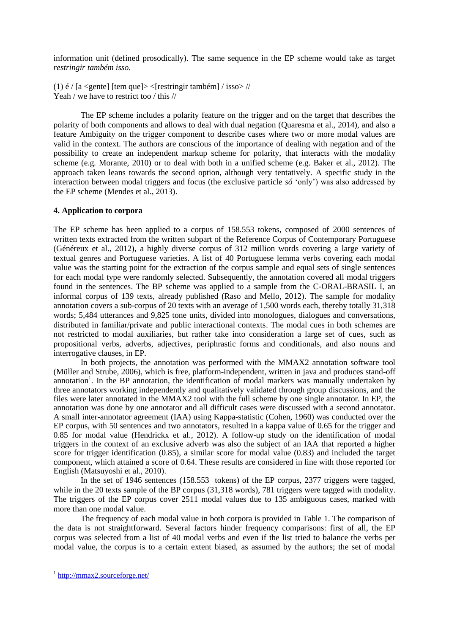information unit (defined prosodically). The same sequence in the EP scheme would take as target *restringir também isso*.

(1)  $\acute{\text{e}}$  / [a <gente] [tem que]> <[restringir também] / isso> // Yeah / we have to restrict too / this //

The EP scheme includes a polarity feature on the trigger and on the target that describes the polarity of both components and allows to deal with dual negation (Quaresma et al., 2014), and also a feature Ambiguity on the trigger component to describe cases where two or more modal values are valid in the context. The authors are conscious of the importance of dealing with negation and of the possibility to create an independent markup scheme for polarity, that interacts with the modality scheme (e.g. Morante, 2010) or to deal with both in a unified scheme (e.g. Baker et al., 2012). The approach taken leans towards the second option, although very tentatively. A specific study in the interaction between modal triggers and focus (the exclusive particle *só* 'only') was also addressed by the EP scheme (Mendes et al., 2013).

#### **4. Application to corpora**

The EP scheme has been applied to a corpus of 158.553 tokens, composed of 2000 sentences of written texts extracted from the written subpart of the Reference Corpus of Contemporary Portuguese (Généreux et al., 2012), a highly diverse corpus of 312 million words covering a large variety of textual genres and Portuguese varieties. A list of 40 Portuguese lemma verbs covering each modal value was the starting point for the extraction of the corpus sample and equal sets of single sentences for each modal type were randomly selected. Subsequently, the annotation covered all modal triggers found in the sentences. The BP scheme was applied to a sample from the C-ORAL-BRASIL I, an informal corpus of 139 texts, already published (Raso and Mello, 2012). The sample for modality annotation covers a sub-corpus of 20 texts with an average of 1,500 words each, thereby totally 31,318 words; 5,484 utterances and 9,825 tone units, divided into monologues, dialogues and conversations, distributed in familiar/private and public interactional contexts. The modal cues in both schemes are not restricted to modal auxiliaries, but rather take into consideration a large set of cues, such as propositional verbs, adverbs, adjectives, periphrastic forms and conditionals, and also nouns and interrogative clauses, in EP.

In both projects, the annotation was performed with the MMAX2 annotation software tool (Müller and Strube, 2006), which is free, platform-independent, written in java and produces stand-off annotation<sup>1</sup>. In the BP annotation, the identification of modal markers was manually undertaken by three annotators working independently and qualitatively validated through group discussions, and the files were later annotated in the MMAX2 tool with the full scheme by one single annotator. In EP, the annotation was done by one annotator and all difficult cases were discussed with a second annotator. A small inter-annotator agreement (IAA) using Kappa-statistic (Cohen, 1960) was conducted over the EP corpus, with 50 sentences and two annotators, resulted in a kappa value of 0.65 for the trigger and 0.85 for modal value (Hendrickx et al., 2012). A follow-up study on the identification of modal triggers in the context of an exclusive adverb was also the subject of an IAA that reported a higher score for trigger identification (0.85), a similar score for modal value (0.83) and included the target component, which attained a score of 0.64. These results are considered in line with those reported for English (Matsuyoshi et al., 2010).

In the set of 1946 sentences (158.553 tokens) of the EP corpus, 2377 triggers were tagged, while in the 20 texts sample of the BP corpus (31,318 words), 781 triggers were tagged with modality. The triggers of the EP corpus cover 2511 modal values due to 135 ambiguous cases, marked with more than one modal value.

The frequency of each modal value in both corpora is provided in Table 1. The comparison of the data is not straightforward. Several factors hinder frequency comparisons: first of all, the EP corpus was selected from a list of 40 modal verbs and even if the list tried to balance the verbs per modal value, the corpus is to a certain extent biased, as assumed by the authors; the set of modal

 $\overline{a}$ 

<sup>&</sup>lt;sup>1</sup> <http://mmax2.sourceforge.net/>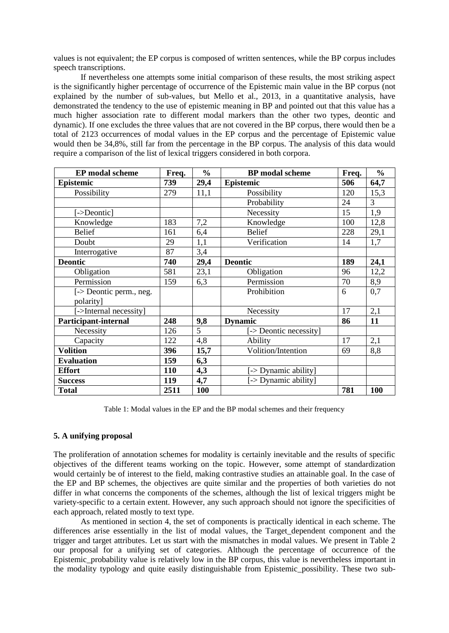values is not equivalent; the EP corpus is composed of written sentences, while the BP corpus includes speech transcriptions.

If nevertheless one attempts some initial comparison of these results, the most striking aspect is the significantly higher percentage of occurrence of the Epistemic main value in the BP corpus (not explained by the number of sub-values, but Mello et al., 2013, in a quantitative analysis, have demonstrated the tendency to the use of epistemic meaning in BP and pointed out that this value has a much higher association rate to different modal markers than the other two types, deontic and dynamic). If one excludes the three values that are not covered in the BP corpus, there would then be a total of 2123 occurrences of modal values in the EP corpus and the percentage of Epistemic value would then be 34,8%, still far from the percentage in the BP corpus. The analysis of this data would require a comparison of the list of lexical triggers considered in both corpora.

| <b>EP</b> modal scheme      | Freq. | $\frac{0}{0}$  | <b>BP</b> modal scheme | Freq. | $\frac{0}{0}$ |
|-----------------------------|-------|----------------|------------------------|-------|---------------|
| Epistemic                   | 739   | 29,4           | Epistemic              | 506   | 64,7          |
| Possibility                 | 279   | 11,1           | Possibility            | 120   | 15,3          |
|                             |       |                | Probability            | 24    | 3             |
| ->Deontic                   |       |                | Necessity              | 15    | 1,9           |
| Knowledge                   | 183   | 7,2            | Knowledge              | 100   | 12,8          |
| <b>Belief</b>               | 161   | 6,4            | <b>Belief</b>          | 228   | 29,1          |
| Doubt                       | 29    | 1,1            | Verification           | 14    | 1,7           |
| Interrogative               | 87    | 3,4            |                        |       |               |
| <b>Deontic</b>              | 740   | 29,4           | <b>Deontic</b>         | 189   | 24,1          |
| Obligation                  | 581   | 23,1           | Obligation             | 96    | 12,2          |
| Permission                  | 159   | 6,3            | Permission             | 70    | 8,9           |
| [-> Deontic perm., neg.     |       |                | Prohibition            | 6     | 0,7           |
| polarity]                   |       |                |                        |       |               |
| [->Internal necessity]      |       |                | Necessity              | 17    | 2,1           |
| <b>Participant-internal</b> | 248   | 9,8            | <b>Dynamic</b>         | 86    | 11            |
| Necessity                   | 126   | $\overline{5}$ | [-> Deontic necessity] |       |               |
| Capacity                    | 122   | 4,8            | Ability                | 17    | 2,1           |
| <b>Volition</b>             | 396   | 15,7           | Volition/Intention     | 69    | 8,8           |
| <b>Evaluation</b>           | 159   | 6,3            |                        |       |               |
| <b>Effort</b>               | 110   | 4,3            | -> Dynamic ability]    |       |               |
| <b>Success</b>              | 119   | 4,7            | [-> Dynamic ability]   |       |               |
| <b>Total</b>                | 2511  | 100            |                        | 781   | 100           |

Table 1: Modal values in the EP and the BP modal schemes and their frequency

# **5. A unifying proposal**

The proliferation of annotation schemes for modality is certainly inevitable and the results of specific objectives of the different teams working on the topic. However, some attempt of standardization would certainly be of interest to the field, making contrastive studies an attainable goal. In the case of the EP and BP schemes, the objectives are quite similar and the properties of both varieties do not differ in what concerns the components of the schemes, although the list of lexical triggers might be variety-specific to a certain extent. However, any such approach should not ignore the specificities of each approach, related mostly to text type.

As mentioned in section 4, the set of components is practically identical in each scheme. The differences arise essentially in the list of modal values, the Target\_dependent component and the trigger and target attributes. Let us start with the mismatches in modal values. We present in Table 2 our proposal for a unifying set of categories. Although the percentage of occurrence of the Epistemic\_probability value is relatively low in the BP corpus, this value is nevertheless important in the modality typology and quite easily distinguishable from Epistemic\_possibility. These two sub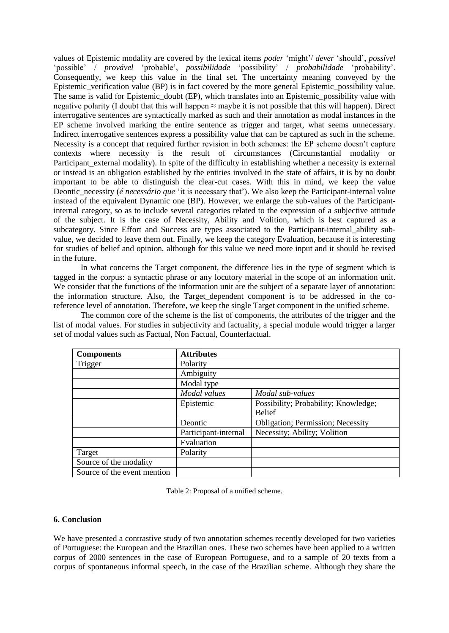values of Epistemic modality are covered by the lexical items *poder* 'might'/ *dever* 'should', *possível*  'possible' / *provável* 'probable', *possibilidade* 'possibility' / *probabilidade* 'probability'. Consequently, we keep this value in the final set. The uncertainty meaning conveyed by the Epistemic verification value (BP) is in fact covered by the more general Epistemic possibility value. The same is valid for Epistemic doubt (EP), which translates into an Epistemic possibility value with negative polarity (I doubt that this will happen  $\approx$  maybe it is not possible that this will happen). Direct interrogative sentences are syntactically marked as such and their annotation as modal instances in the EP scheme involved marking the entire sentence as trigger and target, what seems unnecessary. Indirect interrogative sentences express a possibility value that can be captured as such in the scheme. Necessity is a concept that required further revision in both schemes: the EP scheme doesn't capture contexts where necessity is the result of circumstances (Circumstantial modality or Participant external modality). In spite of the difficulty in establishing whether a necessity is external or instead is an obligation established by the entities involved in the state of affairs, it is by no doubt important to be able to distinguish the clear-cut cases. With this in mind, we keep the value Deontic necessity (*é necessário que* 'it is necessary that'). We also keep the Participant-internal value instead of the equivalent Dynamic one (BP). However, we enlarge the sub-values of the Participantinternal category, so as to include several categories related to the expression of a subjective attitude of the subject. It is the case of Necessity, Ability and Volition, which is best captured as a subcategory. Since Effort and Success are types associated to the Participant-internal\_ability subvalue, we decided to leave them out. Finally, we keep the category Evaluation, because it is interesting for studies of belief and opinion, although for this value we need more input and it should be revised in the future.

In what concerns the Target component, the difference lies in the type of segment which is tagged in the corpus: a syntactic phrase or any locutory material in the scope of an information unit. We consider that the functions of the information unit are the subject of a separate layer of annotation: the information structure. Also, the Target\_dependent component is to be addressed in the coreference level of annotation. Therefore, we keep the single Target component in the unified scheme.

The common core of the scheme is the list of components, the attributes of the trigger and the list of modal values. For studies in subjectivity and factuality, a special module would trigger a larger set of modal values such as Factual, Non Factual, Counterfactual.

| <b>Components</b>           | <b>Attributes</b>    |                                           |  |  |
|-----------------------------|----------------------|-------------------------------------------|--|--|
| Trigger                     | Polarity             |                                           |  |  |
|                             | Ambiguity            |                                           |  |  |
|                             | Modal type           |                                           |  |  |
|                             | Modal values         | Modal sub-values                          |  |  |
|                             | Epistemic            | Possibility; Probability; Knowledge;      |  |  |
|                             |                      | <b>Belief</b>                             |  |  |
|                             | Deontic              | <b>Obligation</b> ; Permission; Necessity |  |  |
|                             | Participant-internal | Necessity; Ability; Volition              |  |  |
|                             | Evaluation           |                                           |  |  |
| Target                      | Polarity             |                                           |  |  |
| Source of the modality      |                      |                                           |  |  |
| Source of the event mention |                      |                                           |  |  |

Table 2: Proposal of a unified scheme.

# **6. Conclusion**

We have presented a contrastive study of two annotation schemes recently developed for two varieties of Portuguese: the European and the Brazilian ones. These two schemes have been applied to a written corpus of 2000 sentences in the case of European Portuguese, and to a sample of 20 texts from a corpus of spontaneous informal speech, in the case of the Brazilian scheme. Although they share the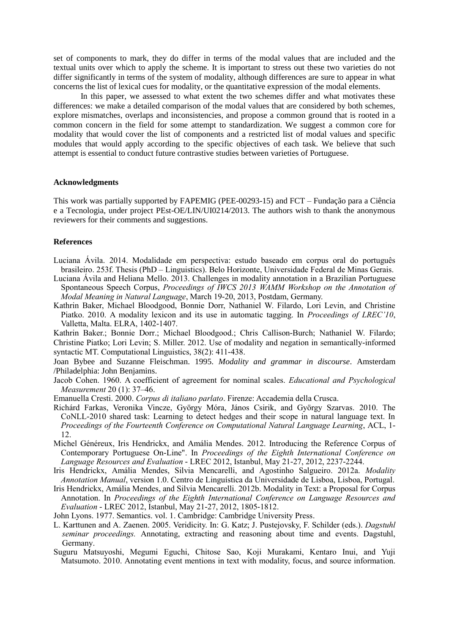set of components to mark, they do differ in terms of the modal values that are included and the textual units over which to apply the scheme. It is important to stress out these two varieties do not differ significantly in terms of the system of modality, although differences are sure to appear in what concerns the list of lexical cues for modality, or the quantitative expression of the modal elements.

In this paper, we assessed to what extent the two schemes differ and what motivates these differences: we make a detailed comparison of the modal values that are considered by both schemes, explore mismatches, overlaps and inconsistencies, and propose a common ground that is rooted in a common concern in the field for some attempt to standardization. We suggest a common core for modality that would cover the list of components and a restricted list of modal values and specific modules that would apply according to the specific objectives of each task. We believe that such attempt is essential to conduct future contrastive studies between varieties of Portuguese.

### **Acknowledgments**

This work was partially supported by FAPEMIG (PEE-00293-15) and FCT – Fundação para a Ciência e a Tecnologia, under project PEst-OE/LIN/UI0214/2013. The authors wish to thank the anonymous reviewers for their comments and suggestions.

#### **References**

- Luciana Ávila. 2014. Modalidade em perspectiva: estudo baseado em corpus oral do português brasileiro. 253f. Thesis (PhD – Linguistics). Belo Horizonte, Universidade Federal de Minas Gerais.
- Luciana Ávila and Heliana Mello. 2013. Challenges in modality annotation in a Brazilian Portuguese Spontaneous Speech Corpus, *Proceedings of IWCS 2013 WAMM Workshop on the Annotation of Modal Meaning in Natural Language*, March 19-20, 2013, Postdam, Germany.
- Kathrin Baker, Michael Bloodgood, Bonnie Dorr, Nathaniel W. Filardo, Lori Levin, and Christine Piatko. 2010. A modality lexicon and its use in automatic tagging. In *Proceedings of LREC'10*, Valletta, Malta. ELRA, 1402-1407.

Kathrin Baker.; Bonnie Dorr.; Michael Bloodgood.; Chris Callison-Burch; Nathaniel W. Filardo; Christine Piatko; Lori Levin; S. Miller. 2012. Use of modality and negation in semantically-informed syntactic MT. Computational Linguistics, 38(2): 411-438.

- Joan Bybee and Suzanne Fleischman. 1995. *Modality and grammar in discourse*. Amsterdam /Philadelphia: John Benjamins.
- Jacob Cohen. 1960. A coefficient of agreement for nominal scales. *Educational and Psychological Measurement* 20 (1): 37–46.
- Emanuella Cresti. 2000. *Corpus di italiano parlato*. Firenze: Accademia della Crusca.
- Richárd Farkas, Veronika Vincze, György Móra, János Csirik, and György Szarvas. 2010. The CoNLL-2010 shared task: Learning to detect hedges and their scope in natural language text. In *Proceedings of the Fourteenth Conference on Computational Natural Language Learning*, ACL, 1- 12.
- Michel Généreux, Iris Hendrickx, and Amália Mendes. 2012. Introducing the Reference Corpus of Contemporary Portuguese On-Line". In *Proceedings of the Eighth International Conference on Language Resources and Evaluation* - LREC 2012, Istanbul, May 21-27, 2012, 2237-2244.
- Iris Hendrickx, Amália Mendes, Silvia Mencarelli, and Agostinho Salgueiro. 2012a. *Modality Annotation Manual*, version 1.0. Centro de Linguística da Universidade de Lisboa, Lisboa, Portugal.
- Iris Hendrickx, Amália Mendes, and Silvia Mencarelli. 2012b. Modality in Text: a Proposal for Corpus Annotation. In *Proceedings of the Eighth International Conference on Language Resources and Evaluation* - LREC 2012, Istanbul, May 21-27, 2012, 1805-1812.
- John Lyons. 1977. Semantics. vol. 1. Cambridge: Cambridge University Press.
- L. Karttunen and A. Zaenen. 2005. Veridicity. In: G. Katz; J. Pustejovsky, F. Schilder (eds.). *Dagstuhl seminar proceedings.* Annotating, extracting and reasoning about time and events. Dagstuhl, Germany.
- Suguru Matsuyoshi, Megumi Eguchi, Chitose Sao, Koji Murakami, Kentaro Inui, and Yuji Matsumoto. 2010. Annotating event mentions in text with modality, focus, and source information.